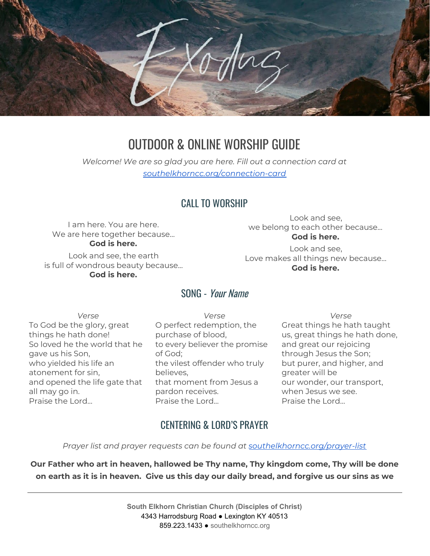

# OUTDOOR & ONLINE WORSHIP GUIDE

*Welcome! We are so glad you are here. Fill out a connection card at [southelkhorncc.org/connection-card](https://www.southelkhorncc.org/connection-card)*

### CALL TO WORSHIP

I am here. You are here. We are here together because... **God is here.**

Look and see, the earth is full of wondrous beauty because... **God is here.**

Look and see, we belong to each other because... **God is here.**

Look and see, Love makes all things new because… **God is here.**

#### SONG - Your Name

*Verse* To God be the glory, great things he hath done! So loved he the world that he gave us his Son, who yielded his life an atonement for sin, and opened the life gate that all may go in. Praise the Lord…

*Verse* O perfect redemption, the purchase of blood, to every believer the promise of God; the vilest offender who truly believes, that moment from Jesus a pardon receives. Praise the Lord...

*Verse* Great things he hath taught us, great things he hath done, and great our rejoicing through Jesus the Son; but purer, and higher, and greater will be our wonder, our transport, when Jesus we see. Praise the Lord...

### CENTERING & LORD'S PRAYER

*Prayer list and prayer requests can be found at [southelkhorncc.org/prayer-list](https://www.southelkhorncc.org/prayer-list)*

**Our Father who art in heaven, hallowed be Thy name, Thy kingdom come, Thy will be done** on earth as it is in heaven. Give us this day our daily bread, and forgive us our sins as we